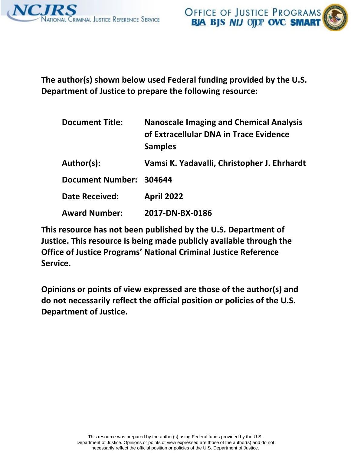



 **The author(s) shown below used Federal funding provided by the U.S. Department of Justice to prepare the following resource:** 

| <b>Document Title:</b>  | <b>Nanoscale Imaging and Chemical Analysis</b><br>of Extracellular DNA in Trace Evidence<br><b>Samples</b> |
|-------------------------|------------------------------------------------------------------------------------------------------------|
| Author(s):              | Vamsi K. Yadavalli, Christopher J. Ehrhardt                                                                |
| Document Number: 304644 |                                                                                                            |
| <b>Date Received:</b>   | <b>April 2022</b>                                                                                          |
| <b>Award Number:</b>    | 2017-DN-BX-0186                                                                                            |

 **This resource has not been published by the U.S. Department of Justice. This resource is being made publicly available through the Office of Justice Programs' National Criminal Justice Reference Service.** 

 **Opinions or points of view expressed are those of the author(s) and do not necessarily reflect the official position or policies of the U.S. Department of Justice.**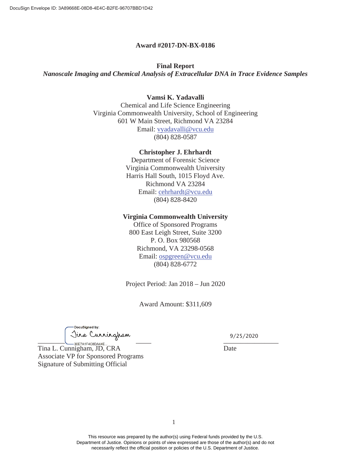#### **Award #2017-DN-BX-0186**

# **Final Report**

*Nanoscale Imaging and Chemical Analysis of Extracellular DNA in Trace Evidence Samples* 

#### **Vamsi K. Yadavalli**

Chemical and Life Science Engineering Virginia Commonwealth University, School of Engineering 601 W Main Street, Richmond VA 23284 Email: [vyadavalli@vcu.edu](mailto:vyadavalli@vcu.edu)  (804) 828-0587

#### **Christopher J. Ehrhardt**

Department of Forensic Science Virginia Commonwealth University Harris Hall South, 1015 Floyd Ave. Richmond VA 23284 Email: [cehrhardt@vcu.edu](mailto:cehrhardt@vcu.edu)  (804) 828-8420

#### **Virginia Commonwealth University**

Office of Sponsored Programs 800 East Leigh Street, Suite 3200 P. O. Box 980568 Richmond, VA 23298-0568 Email: [ospgreen@vcu.edu](mailto:ospgreen@vcu.edu)  (804) 828-6772

Project Period: Jan 2018 – Jun 2020

Award Amount: \$311,609

DocuSianed by:  $\overbrace{\qquad \qquad}^{\bullet}$ 

9/25/2020  $\frac{1}{2}$ 

Date

Tina L. Cunnigham, JD, CRA Associate VP for Sponsored Programs Signature of Submitting Official

> This resource was prepared by the author(s) using Federal funds provided by the U.S. Department of Justice. Opinions or points of view expressed are those of the author(s) and do not necessarily reflect the official position or policies of the U.S. Department of Justice.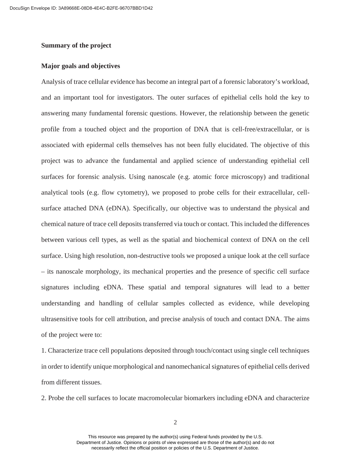# **Summary of the project**

#### **Major goals and objectives**

Analysis of trace cellular evidence has become an integral part of a forensic laboratory's workload, and an important tool for investigators. The outer surfaces of epithelial cells hold the key to answering many fundamental forensic questions. However, the relationship between the genetic profile from a touched object and the proportion of DNA that is cell-free/extracellular, or is associated with epidermal cells themselves has not been fully elucidated. The objective of this project was to advance the fundamental and applied science of understanding epithelial cell surfaces for forensic analysis. Using nanoscale (e.g. atomic force microscopy) and traditional analytical tools (e.g. flow cytometry), we proposed to probe cells for their extracellular, cellsurface attached DNA (eDNA). Specifically, our objective was to understand the physical and chemical nature of trace cell deposits transferred via touch or contact. This included the differences between various cell types, as well as the spatial and biochemical context of DNA on the cell surface. Using high resolution, non-destructive tools we proposed a unique look at the cell surface – its nanoscale morphology, its mechanical properties and the presence of specific cell surface signatures including eDNA. These spatial and temporal signatures will lead to a better understanding and handling of cellular samples collected as evidence, while developing ultrasensitive tools for cell attribution, and precise analysis of touch and contact DNA. The aims of the project were to:

1. Characterize trace cell populations deposited through touch/contact using single cell techniques in order to identify unique morphological and nanomechanical signatures of epithelial cells derived from different tissues.

2. Probe the cell surfaces to locate macromolecular biomarkers including eDNA and characterize

2

This resource was prepared by the author(s) using Federal funds provided by the U.S. Department of Justice. Opinions or points of view expressed are those of the author(s) and do not necessarily reflect the official position or policies of the U.S. Department of Justice.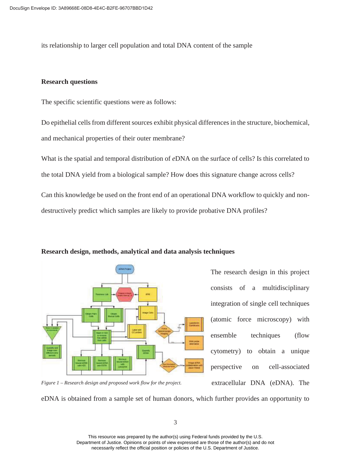its relationship to larger cell population and total DNA content of the sample

# **Research questions**

The specific scientific questions were as follows:

Do epithelial cells from different sources exhibit physical differences in the structure, biochemical, and mechanical properties of their outer membrane?

What is the spatial and temporal distribution of *e*DNA on the surface of cells? Is this correlated to the total DNA yield from a biological sample? How does this signature change across cells? Can this knowledge be used on the front end of an operational DNA workflow to quickly and nondestructively predict which samples are likely to provide probative DNA profiles?



#### **Research design, methods, analytical and data analysis techniques**

The research design in this project consists of a multidisciplinary integration of single cell techniques (atomic force microscopy) with ensemble techniques (flow cytometry) to obtain a unique perspective on cell-associated extracellular DNA (eDNA). The

 *Figure 1 – Research design and proposed work flow for the project.* 

eDNA is obtained from a sample set of human donors, which further provides an opportunity to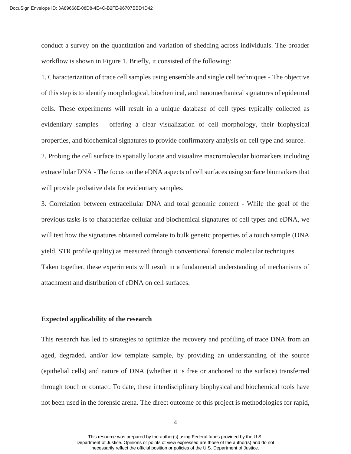workflow is shown in Figure 1. Briefly, it consisted of the following: conduct a survey on the quantitation and variation of shedding across individuals. The broader

1. Characterization of trace cell samples using ensemble and single cell techniques - The objective of this step is to identify morphological, biochemical, and nanomechanical signatures of epidermal cells. These experiments will result in a unique database of cell types typically collected as evidentiary samples – offering a clear visualization of cell morphology, their biophysical properties, and biochemical signatures to provide confirmatory analysis on cell type and source.

2. Probing the cell surface to spatially locate and visualize macromolecular biomarkers including extracellular DNA - The focus on the eDNA aspects of cell surfaces using surface biomarkers that will provide probative data for evidentiary samples.

3. Correlation between extracellular DNA and total genomic content - While the goal of the previous tasks is to characterize cellular and biochemical signatures of cell types and eDNA, we will test how the signatures obtained correlate to bulk genetic properties of a touch sample (DNA yield, STR profile quality) as measured through conventional forensic molecular techniques. Taken together, these experiments will result in a fundamental understanding of mechanisms of attachment and distribution of eDNA on cell surfaces.

#### **Expected applicability of the research**

This research has led to strategies to optimize the recovery and profiling of trace DNA from an aged, degraded, and/or low template sample, by providing an understanding of the source (epithelial cells) and nature of DNA (whether it is free or anchored to the surface) transferred through touch or contact. To date, these interdisciplinary biophysical and biochemical tools have not been used in the forensic arena. The direct outcome of this project is methodologies for rapid,

4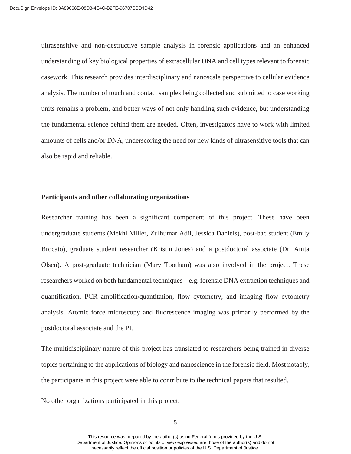the fundamental science behind them are needed. Often, investigators have to work with limited also be rapid and reliable. ultrasensitive and non-destructive sample analysis in forensic applications and an enhanced understanding of key biological properties of extracellular DNA and cell types relevant to forensic casework. This research provides interdisciplinary and nanoscale perspective to cellular evidence analysis. The number of touch and contact samples being collected and submitted to case working units remains a problem, and better ways of not only handling such evidence, but understanding amounts of cells and/or DNA, underscoring the need for new kinds of ultrasensitive tools that can

#### **Participants and other collaborating organizations**

Researcher training has been a significant component of this project. These have been undergraduate students (Mekhi Miller, Zulhumar Adil, Jessica Daniels), post-bac student (Emily Brocato), graduate student researcher (Kristin Jones) and a postdoctoral associate (Dr. Anita Olsen). A post-graduate technician (Mary Tootham) was also involved in the project. These researchers worked on both fundamental techniques – e.g. forensic DNA extraction techniques and quantification, PCR amplification/quantitation, flow cytometry, and imaging flow cytometry analysis. Atomic force microscopy and fluorescence imaging was primarily performed by the postdoctoral associate and the PI.

The multidisciplinary nature of this project has translated to researchers being trained in diverse topics pertaining to the applications of biology and nanoscience in the forensic field. Most notably, the participants in this project were able to contribute to the technical papers that resulted.

No other organizations participated in this project.<br>
5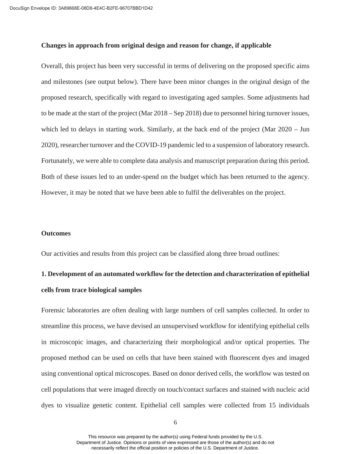# **Changes in approach from original design and reason for change, if applicable**

Overall, this project has been very successful in terms of delivering on the proposed specific aims and milestones (see output below). There have been minor changes in the original design of the proposed research, specifically with regard to investigating aged samples. Some adjustments had to be made at the start of the project (Mar 2018 – Sep 2018) due to personnel hiring turnover issues, which led to delays in starting work. Similarly, at the back end of the project (Mar 2020 – Jun 2020), researcher turnover and the COVID-19 pandemic led to a suspension of laboratory research. Fortunately, we were able to complete data analysis and manuscript preparation during this period. Both of these issues led to an under-spend on the budget which has been returned to the agency. However, it may be noted that we have been able to fulfil the deliverables on the project.

# **Outcomes**

Our activities and results from this project can be classified along three broad outlines:

# **1. Development of an automated workflow for the detection and characterization of epithelial cells from trace biological samples**

 cell populations that were imaged directly on touch/contact surfaces and stained with nucleic acid Forensic laboratories are often dealing with large numbers of cell samples collected. In order to streamline this process, we have devised an unsupervised workflow for identifying epithelial cells in microscopic images, and characterizing their morphological and/or optical properties. The proposed method can be used on cells that have been stained with fluorescent dyes and imaged using conventional optical microscopes. Based on donor derived cells, the workflow was tested on dyes to visualize genetic content. Epithelial cell samples were collected from 15 individuals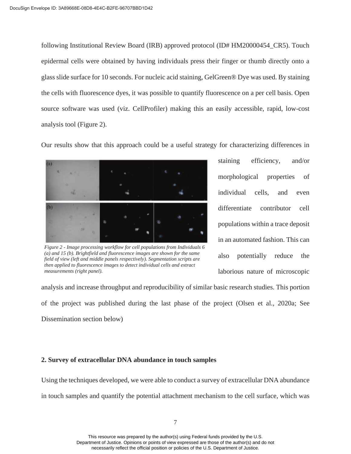following Institutional Review Board (IRB) approved protocol (ID# HM20000454\_CR5). Touch epidermal cells were obtained by having individuals press their finger or thumb directly onto a glass slide surface for 10 seconds. For nucleic acid staining, GelGreen® Dye was used. By staining the cells with fluorescence dyes, it was possible to quantify fluorescence on a per cell basis. Open source software was used (viz. CellProfiler) making this an easily accessible, rapid, low-cost analysis tool (Figure 2).

Our results show that this approach could be a useful strategy for characterizing differences in



*Figure 2 - Image processing workflow for cell populations from Individuals 6 (a) and 15 (b). Brightfield and fluorescence images are shown for the same field of view (left and middle panels respectively). Segmentation scripts are then applied to fluorescence images to detect individual cells and extract measurements (right panel).* 

staining efficiency, and/or morphological properties of individual cells, and even differentiate contributor cell populations within a trace deposit in an automated fashion. This can also potentially reduce the laborious nature of microscopic

analysis and increase throughput and reproducibility of similar basic research studies. This portion of the project was published during the last phase of the project (Olsen et al., 2020a; See Dissemination section below)

# **2. Survey of extracellular DNA abundance in touch samples**

Using the techniques developed, we were able to conduct a survey of extracellular DNA abundance in touch samples and quantify the potential attachment mechanism to the cell surface, which was

This resource was prepared by the author(s) using Federal funds provided by the U.S. Department of Justice. Opinions or points of view expressed are those of the author(s) and do not necessarily reflect the official position or policies of the U.S. Department of Justice.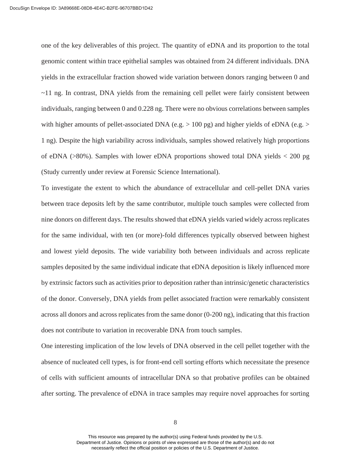one of the key deliverables of this project. The quantity of eDNA and its proportion to the total genomic content within trace epithelial samples was obtained from 24 different individuals. DNA yields in the extracellular fraction showed wide variation between donors ranging between 0 and ~11 ng. In contrast, DNA yields from the remaining cell pellet were fairly consistent between individuals, ranging between 0 and 0.228 ng. There were no obvious correlations between samples with higher amounts of pellet-associated DNA (e.g. > 100 pg) and higher yields of eDNA (e.g. > 1 ng). Despite the high variability across individuals, samples showed relatively high proportions of eDNA (>80%). Samples with lower eDNA proportions showed total DNA yields < 200 pg (Study currently under review at Forensic Science International).

To investigate the extent to which the abundance of extracellular and cell-pellet DNA varies between trace deposits left by the same contributor, multiple touch samples were collected from nine donors on different days. The results showed that eDNA yields varied widely across replicates for the same individual, with ten (or more)-fold differences typically observed between highest and lowest yield deposits. The wide variability both between individuals and across replicate samples deposited by the same individual indicate that eDNA deposition is likely influenced more by extrinsic factors such as activities prior to deposition rather than intrinsic/genetic characteristics of the donor. Conversely, DNA yields from pellet associated fraction were remarkably consistent across all donors and across replicates from the same donor (0-200 ng), indicating that this fraction does not contribute to variation in recoverable DNA from touch samples.

One interesting implication of the low levels of DNA observed in the cell pellet together with the absence of nucleated cell types, is for front-end cell sorting efforts which necessitate the presence of cells with sufficient amounts of intracellular DNA so that probative profiles can be obtained after sorting. The prevalence of eDNA in trace samples may require novel approaches for sorting

8

This resource was prepared by the author(s) using Federal funds provided by the U.S. Department of Justice. Opinions or points of view expressed are those of the author(s) and do not necessarily reflect the official position or policies of the U.S. Department of Justice.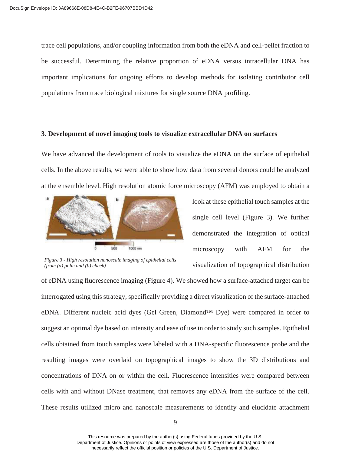trace cell populations, and/or coupling information from both the eDNA and cell-pellet fraction to be successful. Determining the relative proportion of eDNA versus intracellular DNA has important implications for ongoing efforts to develop methods for isolating contributor cell populations from trace biological mixtures for single source DNA profiling.

#### **3. Development of novel imaging tools to visualize extracellular DNA on surfaces**

We have advanced the development of tools to visualize the eDNA on the surface of epithelial cells. In the above results, we were able to show how data from several donors could be analyzed at the ensemble level. High resolution atomic force microscopy (AFM) was employed to obtain a



*Figure 3 - High resolution nanoscale imaging of epithelial cells (from (a) palm and (b) cheek)* 

look at these epithelial touch samples at the single cell level (Figure 3). We further demonstrated the integration of optical microscopy with AFM for the visualization of topographical distribution

of eDNA using fluorescence imaging (Figure 4). We showed how a surface-attached target can be interrogated using this strategy, specifically providing a direct visualization of the surface-attached eDNA. Different nucleic acid dyes (Gel Green, Diamond™ Dye) were compared in order to suggest an optimal dye based on intensity and ease of use in order to study such samples. Epithelial cells obtained from touch samples were labeled with a DNA-specific fluorescence probe and the resulting images were overlaid on topographical images to show the 3D distributions and concentrations of DNA on or within the cell. Fluorescence intensities were compared between cells with and without DNase treatment, that removes any eDNA from the surface of the cell. These results utilized micro and nanoscale measurements to identify and elucidate attachment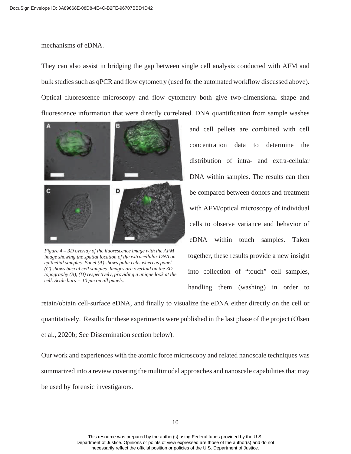mechanisms of eDNA.

They can also assist in bridging the gap between single cell analysis conducted with AFM and bulk studies such as qPCR and flow cytometry (used for the automated workflow discussed above). Optical fluorescence microscopy and flow cytometry both give two-dimensional shape and fluorescence information that were directly correlated. DNA quantification from sample washes



 *(C) shows buccal cell samples. Images are overlaid on the 3D topography (B), (D) respectively, providing a unique look at the cell. Scale bars = 10 μm on all panels. Figure 4 – 3D overlay of the fluorescence image with the AFM image showing the spatial location of the extracellular DNA on epithelial samples. Panel (A) shows palm cells whereas panel* 

and cell pellets are combined with cell concentration data to determine the distribution of intra- and extra-cellular DNA within samples. The results can then be compared between donors and treatment with AFM/optical microscopy of individual cells to observe variance and behavior of eDNA within touch samples. Taken together, these results provide a new insight into collection of "touch" cell samples, handling them (washing) in order to

retain/obtain cell-surface eDNA, and finally to visualize the eDNA either directly on the cell or quantitatively. Results for these experiments were published in the last phase of the project (Olsen et al., 2020b; See Dissemination section below).

Our work and experiences with the atomic force microscopy and related nanoscale techniques was summarized into a review covering the multimodal approaches and nanoscale capabilities that may be used by forensic investigators.

This resource was prepared by the author(s) using Federal funds provided by the U.S. Department of Justice. Opinions or points of view expressed are those of the author(s) and do not necessarily reflect the official position or policies of the U.S. Department of Justice.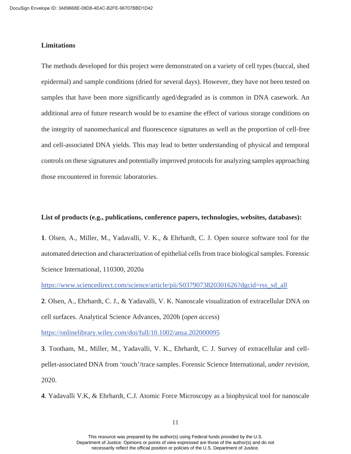### **Limitations**

The methods developed for this project were demonstrated on a variety of cell types (buccal, shed epidermal) and sample conditions (dried for several days). However, they have not been tested on samples that have been more significantly aged/degraded as is common in DNA casework. An additional area of future research would be to examine the effect of various storage conditions on the integrity of nanomechanical and fluorescence signatures as well as the proportion of cell-free and cell-associated DNA yields. This may lead to better understanding of physical and temporal controls on these signatures and potentially improved protocols for analyzing samples approaching those encountered in forensic laboratories.

 **List of products (e.g., publications, conference papers, technologies, websites, databases): 1**. Olsen, A., Miller, M., Yadavalli, V. K., & Ehrhardt, C. J. Open source software tool for the automated detection and characterization of epithelial cells from trace biological samples. Forensic Science International, 110300, 2020a

[https://www.sciencedirect.com/science/article/pii/S0379073820301626?dgcid=rss\\_sd\\_all](https://www.sciencedirect.com/science/article/pii/S0379073820301626?dgcid=rss_sd_all)

**2**. Olsen, A., Ehrhardt, C. J., & Yadavalli, V. K. Nanoscale visualization of extracellular DNA on cell surfaces. Analytical Science Advances, 2020b (*open access*)

<https://onlinelibrary.wiley.com/doi/full/10.1002/ansa.202000095>

**3**. Tootham, M., Miller, M., Yadavalli, V. K., Ehrhardt, C. J. Survey of extracellular and cellpellet-associated DNA from 'touch'/trace samples. Forensic Science International, *under revision*, 2020.

**4**. Yadavalli V.K, & Ehrhardt, C.J. Atomic Force Microscopy as a biophysical tool for nanoscale

This resource was prepared by the author(s) using Federal funds provided by the U.S. Department of Justice. Opinions or points of view expressed are those of the author(s) and do not necessarily reflect the official position or policies of the U.S. Department of Justice.